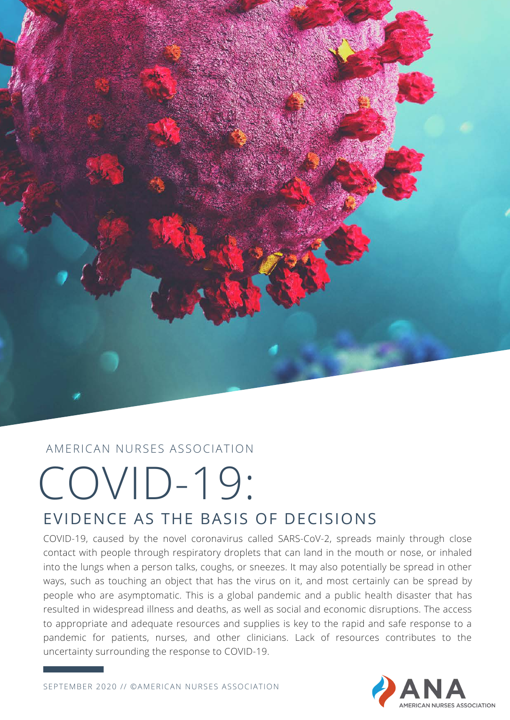

#### AMERICAN NURSES ASSOCIATION

## COVID-19: EVIDENCE AS THE BASIS OF DECISIONS

COVID-19, caused by the novel coronavirus called SARS-CoV-2, spreads mainly through close contact with people through respiratory droplets that can land in the mouth or nose, or inhaled into the lungs when a person talks, coughs, or sneezes. It may also potentially be spread in other ways, such as touching an object that has the virus on it, and most certainly can be spread by people who are asymptomatic. This is a global pandemic and a public health disaster that has resulted in widespread illness and deaths, as well as social and economic disruptions. The access to appropriate and adequate resources and supplies is key to the rapid and safe response to a pandemic for patients, nurses, and other clinicians. Lack of resources contributes to the uncertainty surrounding the response to COVID-19.

SEPTEMBER 2020 // ©AMERICAN NURSES ASSOCIATION

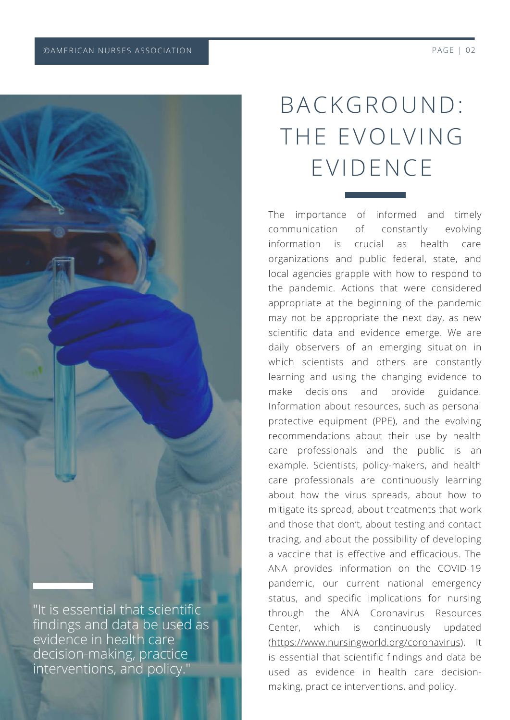

findings and data be used as evidence in health care decision-making, practice interventions, and policy."

### BACKGROUND: THE EVOLVING EVIDENCE

The importance of informed and timely communication of constantly evolving information is crucial as health care organizations and public federal, state, and local agencies grapple with how to respond to the pandemic. Actions that were considered appropriate at the beginning of the pandemic may not be appropriate the next day, as new scientific data and evidence emerge. We are daily observers of an emerging situation in which scientists and others are constantly learning and using the changing evidence to make decisions and provide guidance. Information about resources, such as personal protective equipment (PPE), and the evolving recommendations about their use by health care professionals and the public is an example. Scientists, policy-makers, and health care professionals are continuously learning about how the virus spreads, about how to mitigate its spread, about treatments that work and those that don't, about testing and contact tracing, and about the possibility of developing a vaccine that is effective and efficacious. The ANA provides information on the COVID-19 pandemic, our current national emergency status, and specific implications for nursing through the ANA Coronavirus Resources Center, which is continuously updated ([https://www.nursingworld.org/coronavirus\)](https://www.nursingworld.org/coronavirus/). It is essential that scientific findings and data be used as evidence in health care decisionmaking, practice interventions, and policy.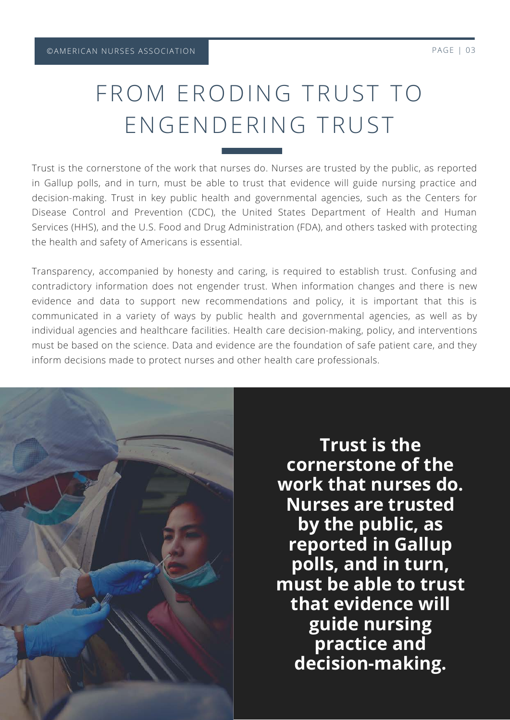#### FROM ERODING TRUST TO ENGENDERING TRUST

Trust is the cornerstone of the work that nurses do. Nurses are trusted by the public, as reported in Gallup polls, and in turn, must be able to trust that evidence will guide nursing practice and decision-making. Trust in key public health and governmental agencies, such as the Centers for Disease Control and Prevention (CDC), the United States Department of Health and Human Services (HHS), and the U.S. Food and Drug Administration (FDA), and others tasked with protecting the health and safety of Americans is essential.

Transparency, accompanied by honesty and caring, is required to establish trust. Confusing and contradictory information does not engender trust. When information changes and there is new evidence and data to support new recommendations and policy, it is important that this is communicated in a variety of ways by public health and governmental agencies, as well as by individual agencies and healthcare facilities. Health care decision-making, policy, and interventions must be based on the science. Data and evidence are the foundation of safe patient care, and they inform decisions made to protect nurses and other health care professionals.



**Trust is the cornerstone of the work that nurses do. Nurses are trusted by the public, as reported in Gallup polls, and in turn, must be able to trust that evidence will guide nursing practice and decision-making.**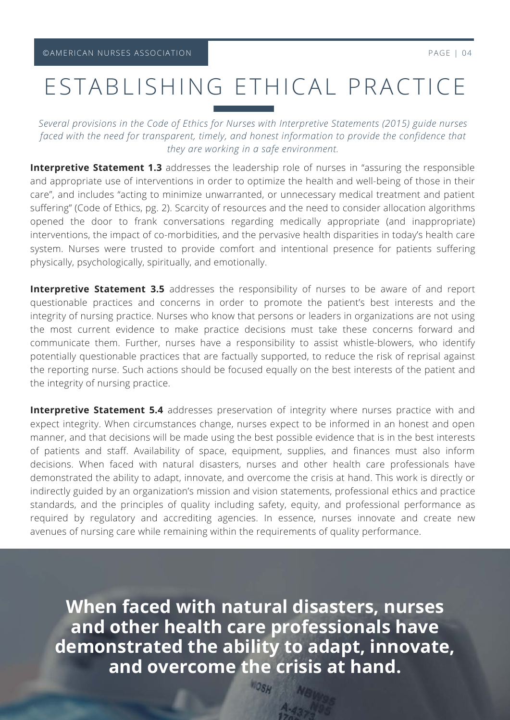#### ESTABLISHING ETHICAL PRACTICE

*Several provisions in the Code of Ethics for Nurses with Interpretive Statements (2015) guide nurses faced with the need for transparent, timely, and honest information to provide the confidence that they are working in a safe environment.*

**Interpretive Statement 1.3** addresses the leadership role of nurses in "assuring the responsible and appropriate use of interventions in order to optimize the health and well-being of those in their care", and includes "acting to minimize unwarranted, or unnecessary medical treatment and patient suffering" (Code of Ethics, pg. 2). Scarcity of resources and the need to consider allocation algorithms opened the door to frank conversations regarding medically appropriate (and inappropriate) interventions, the impact of co-morbidities, and the pervasive health disparities in today's health care system. Nurses were trusted to provide comfort and intentional presence for patients suffering physically, psychologically, spiritually, and emotionally.

**Interpretive Statement 3.5** addresses the responsibility of nurses to be aware of and report questionable practices and concerns in order to promote the patient's best interests and the integrity of nursing practice. Nurses who know that persons or leaders in organizations are not using the most current evidence to make practice decisions must take these concerns forward and communicate them. Further, nurses have a responsibility to assist whistle-blowers, who identify potentially questionable practices that are factually supported, to reduce the risk of reprisal against the reporting nurse. Such actions should be focused equally on the best interests of the patient and the integrity of nursing practice.

**Interpretive Statement 5.4** addresses preservation of integrity where nurses practice with and expect integrity. When circumstances change, nurses expect to be informed in an honest and open manner, and that decisions will be made using the best possible evidence that is in the best interests of patients and staff. Availability of space, equipment, supplies, and finances must also inform decisions. When faced with natural disasters, nurses and other health care professionals have demonstrated the ability to adapt, innovate, and overcome the crisis at hand. This work is directly or indirectly guided by an organization's mission and vision statements, professional ethics and practice standards, and the principles of quality including safety, equity, and professional performance as required by regulatory and accrediting agencies. In essence, nurses innovate and create new avenues of nursing care while remaining within the requirements of quality performance.

**When faced with natural disasters, nurses and other health care professionals have demonstrated the ability to adapt, innovate, and overcome the crisis at hand.**

**WOSH**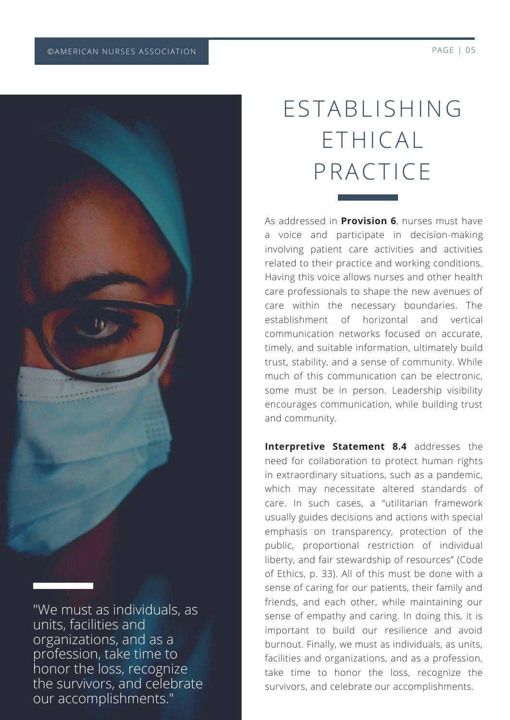

"We must as individuals, as units, facilities and organizations, and as a profession, take time to honor the loss, recognize the survivors, and celebrate our accomplishments."

# ESTABLISHING ETHICAL PRACTICE

As addressed in **Provision 6**, nurses must have a voice and participate in decision-making involving patient care activities and activities related to their practice and working conditions. Having this voice allows nurses and other health care professionals to shape the new avenues of care within the necessary boundaries. The establishment of horizontal and vertical communication networks focused on accurate, timely, and suitable information, ultimately build trust, stability, and a sense of community. While much of this communication can be electronic, some must be in person. Leadership visibility encourages communication, while building trust and community.

**Interpretive Statement 8.4** addresses the need for collaboration to protect human rights in extraordinary situations, such as a pandemic, which may necessitate altered standards of care. In such cases, a "utilitarian framework usually guides decisions and actions with special emphasis on transparency, protection of the public, proportional restriction of individual liberty, and fair stewardship of resources" (Code of Ethics, p. 33). All of this must be done with a sense of caring for our patients, their family and friends, and each other, while maintaining our sense of empathy and caring. In doing this, it is important to build our resilience and avoid burnout. Finally, we must as individuals, as units, facilities and organizations, and as a profession, take time to honor the loss, recognize the survivors, and celebrate our accomplishments.